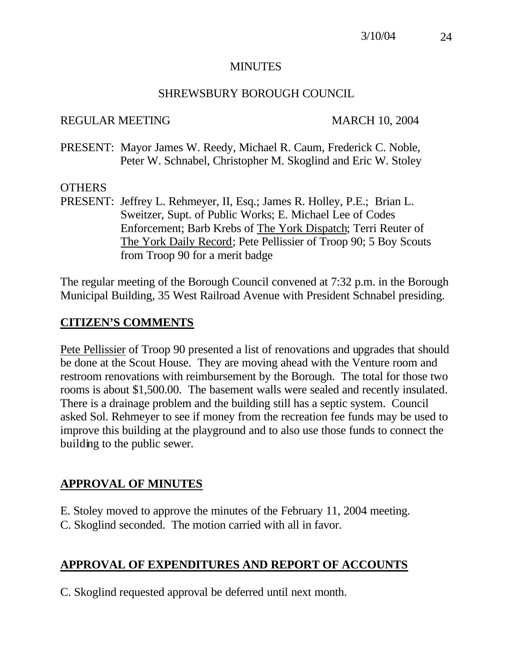#### MINUTES

#### SHREWSBURY BOROUGH COUNCIL

#### REGULAR MEETING MARCH 10, 2004

PRESENT: Mayor James W. Reedy, Michael R. Caum, Frederick C. Noble, Peter W. Schnabel, Christopher M. Skoglind and Eric W. Stoley

#### **OTHERS**

PRESENT: Jeffrey L. Rehmeyer, II, Esq.; James R. Holley, P.E.; Brian L. Sweitzer, Supt. of Public Works; E. Michael Lee of Codes Enforcement; Barb Krebs of The York Dispatch; Terri Reuter of The York Daily Record; Pete Pellissier of Troop 90; 5 Boy Scouts from Troop 90 for a merit badge

The regular meeting of the Borough Council convened at 7:32 p.m. in the Borough Municipal Building, 35 West Railroad Avenue with President Schnabel presiding.

### **CITIZEN'S COMMENTS**

Pete Pellissier of Troop 90 presented a list of renovations and upgrades that should be done at the Scout House. They are moving ahead with the Venture room and restroom renovations with reimbursement by the Borough. The total for those two rooms is about \$1,500.00. The basement walls were sealed and recently insulated. There is a drainage problem and the building still has a septic system. Council asked Sol. Rehmeyer to see if money from the recreation fee funds may be used to improve this building at the playground and to also use those funds to connect the building to the public sewer.

## **APPROVAL OF MINUTES**

E. Stoley moved to approve the minutes of the February 11, 2004 meeting. C. Skoglind seconded. The motion carried with all in favor.

## **APPROVAL OF EXPENDITURES AND REPORT OF ACCOUNTS**

C. Skoglind requested approval be deferred until next month.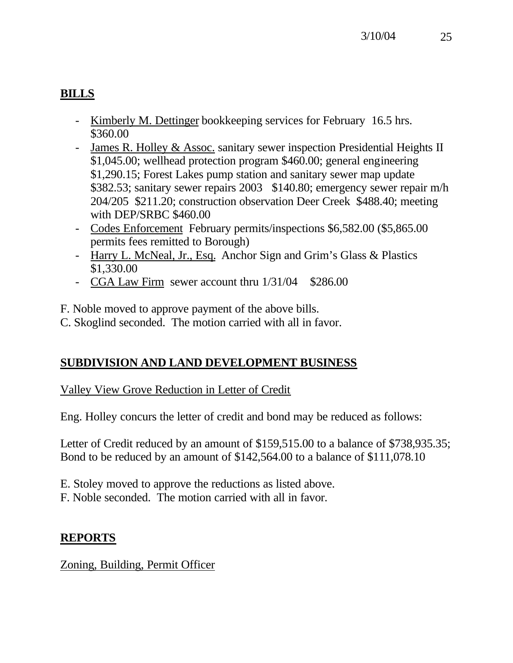# **BILLS**

- Kimberly M. Dettinger bookkeeping services for February 16.5 hrs. \$360.00
- James R. Holley & Assoc. sanitary sewer inspection Presidential Heights II \$1,045.00; wellhead protection program \$460.00; general engineering \$1,290.15; Forest Lakes pump station and sanitary sewer map update \$382.53; sanitary sewer repairs 2003 \$140.80; emergency sewer repair m/h 204/205 \$211.20; construction observation Deer Creek \$488.40; meeting with DEP/SRBC \$460.00
- Codes Enforcement February permits/inspections \$6,582.00 (\$5,865.00 permits fees remitted to Borough)
- Harry L. McNeal, Jr., Esq. Anchor Sign and Grim's Glass & Plastics \$1,330.00
- CGA Law Firm sewer account thru 1/31/04 \$286.00

F. Noble moved to approve payment of the above bills.

C. Skoglind seconded. The motion carried with all in favor.

## **SUBDIVISION AND LAND DEVELOPMENT BUSINESS**

Valley View Grove Reduction in Letter of Credit

Eng. Holley concurs the letter of credit and bond may be reduced as follows:

Letter of Credit reduced by an amount of \$159,515.00 to a balance of \$738,935.35; Bond to be reduced by an amount of \$142,564.00 to a balance of \$111,078.10

- E. Stoley moved to approve the reductions as listed above.
- F. Noble seconded. The motion carried with all in favor.

## **REPORTS**

Zoning, Building, Permit Officer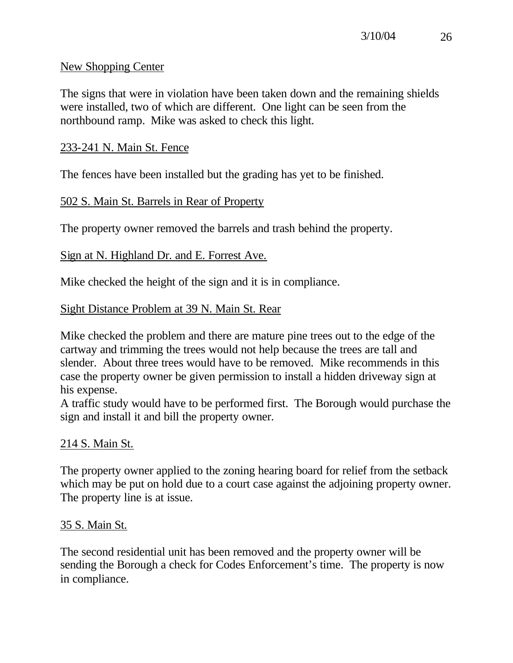#### New Shopping Center

The signs that were in violation have been taken down and the remaining shields were installed, two of which are different. One light can be seen from the northbound ramp. Mike was asked to check this light.

### 233-241 N. Main St. Fence

The fences have been installed but the grading has yet to be finished.

### 502 S. Main St. Barrels in Rear of Property

The property owner removed the barrels and trash behind the property.

### Sign at N. Highland Dr. and E. Forrest Ave.

Mike checked the height of the sign and it is in compliance.

### Sight Distance Problem at 39 N. Main St. Rear

Mike checked the problem and there are mature pine trees out to the edge of the cartway and trimming the trees would not help because the trees are tall and slender. About three trees would have to be removed. Mike recommends in this case the property owner be given permission to install a hidden driveway sign at his expense.

A traffic study would have to be performed first. The Borough would purchase the sign and install it and bill the property owner.

## 214 S. Main St.

The property owner applied to the zoning hearing board for relief from the setback which may be put on hold due to a court case against the adjoining property owner. The property line is at issue.

#### 35 S. Main St.

The second residential unit has been removed and the property owner will be sending the Borough a check for Codes Enforcement's time. The property is now in compliance.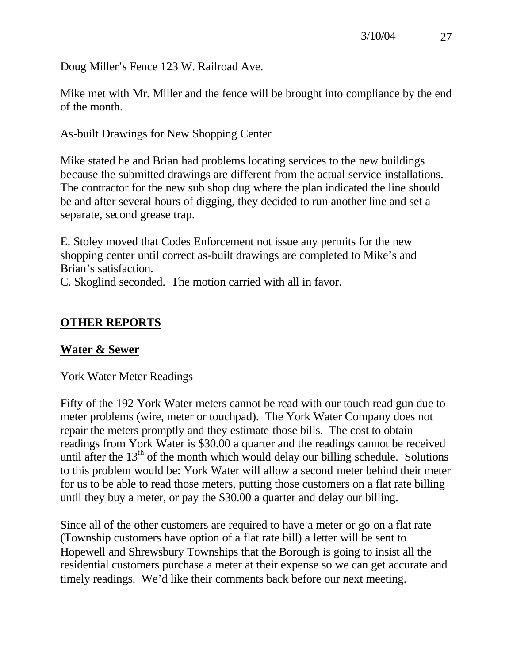## Doug Miller's Fence 123 W. Railroad Ave.

Mike met with Mr. Miller and the fence will be brought into compliance by the end of the month.

### As-built Drawings for New Shopping Center

Mike stated he and Brian had problems locating services to the new buildings because the submitted drawings are different from the actual service installations. The contractor for the new sub shop dug where the plan indicated the line should be and after several hours of digging, they decided to run another line and set a separate, second grease trap.

E. Stoley moved that Codes Enforcement not issue any permits for the new shopping center until correct as-built drawings are completed to Mike's and Brian's satisfaction.

C. Skoglind seconded. The motion carried with all in favor.

## **OTHER REPORTS**

#### **Water & Sewer**

#### York Water Meter Readings

Fifty of the 192 York Water meters cannot be read with our touch read gun due to meter problems (wire, meter or touchpad). The York Water Company does not repair the meters promptly and they estimate those bills. The cost to obtain readings from York Water is \$30.00 a quarter and the readings cannot be received until after the  $13<sup>th</sup>$  of the month which would delay our billing schedule. Solutions to this problem would be: York Water will allow a second meter behind their meter for us to be able to read those meters, putting those customers on a flat rate billing until they buy a meter, or pay the \$30.00 a quarter and delay our billing.

Since all of the other customers are required to have a meter or go on a flat rate (Township customers have option of a flat rate bill) a letter will be sent to Hopewell and Shrewsbury Townships that the Borough is going to insist all the residential customers purchase a meter at their expense so we can get accurate and timely readings. We'd like their comments back before our next meeting.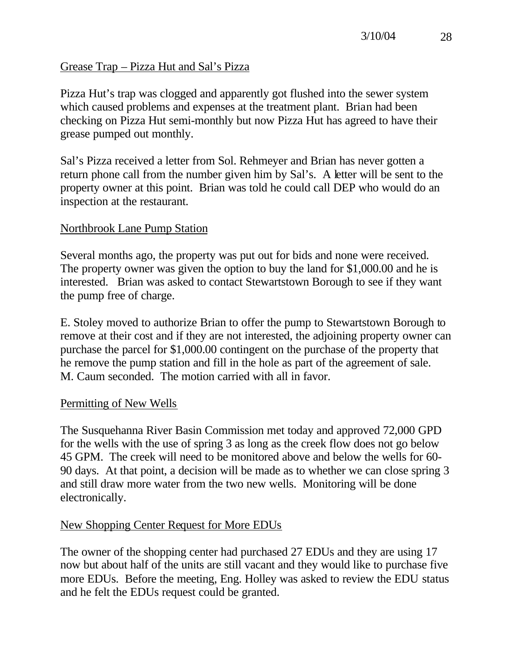## Grease Trap – Pizza Hut and Sal's Pizza

Pizza Hut's trap was clogged and apparently got flushed into the sewer system which caused problems and expenses at the treatment plant. Brian had been checking on Pizza Hut semi-monthly but now Pizza Hut has agreed to have their grease pumped out monthly.

Sal's Pizza received a letter from Sol. Rehmeyer and Brian has never gotten a return phone call from the number given him by Sal's. A letter will be sent to the property owner at this point. Brian was told he could call DEP who would do an inspection at the restaurant.

### Northbrook Lane Pump Station

Several months ago, the property was put out for bids and none were received. The property owner was given the option to buy the land for \$1,000.00 and he is interested. Brian was asked to contact Stewartstown Borough to see if they want the pump free of charge.

E. Stoley moved to authorize Brian to offer the pump to Stewartstown Borough to remove at their cost and if they are not interested, the adjoining property owner can purchase the parcel for \$1,000.00 contingent on the purchase of the property that he remove the pump station and fill in the hole as part of the agreement of sale. M. Caum seconded. The motion carried with all in favor.

#### Permitting of New Wells

The Susquehanna River Basin Commission met today and approved 72,000 GPD for the wells with the use of spring 3 as long as the creek flow does not go below 45 GPM. The creek will need to be monitored above and below the wells for 60- 90 days. At that point, a decision will be made as to whether we can close spring 3 and still draw more water from the two new wells. Monitoring will be done electronically.

#### New Shopping Center Request for More EDUs

The owner of the shopping center had purchased 27 EDUs and they are using 17 now but about half of the units are still vacant and they would like to purchase five more EDUs. Before the meeting, Eng. Holley was asked to review the EDU status and he felt the EDUs request could be granted.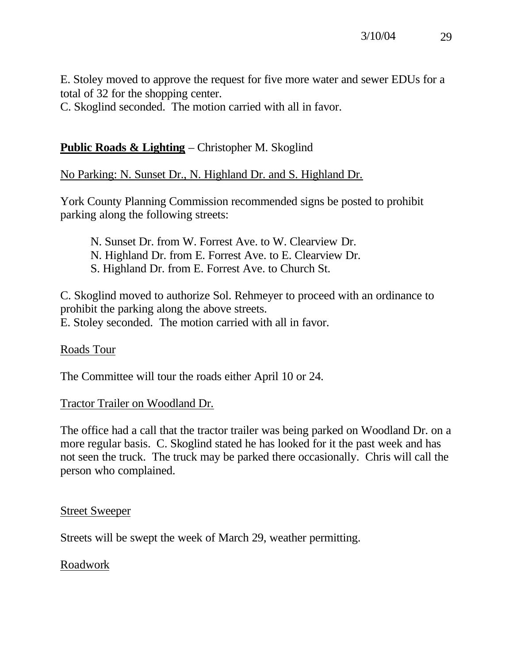E. Stoley moved to approve the request for five more water and sewer EDUs for a total of 32 for the shopping center.

C. Skoglind seconded. The motion carried with all in favor.

## **Public Roads & Lighting** – Christopher M. Skoglind

## No Parking: N. Sunset Dr., N. Highland Dr. and S. Highland Dr.

York County Planning Commission recommended signs be posted to prohibit parking along the following streets:

N. Sunset Dr. from W. Forrest Ave. to W. Clearview Dr. N. Highland Dr. from E. Forrest Ave. to E. Clearview Dr. S. Highland Dr. from E. Forrest Ave. to Church St.

C. Skoglind moved to authorize Sol. Rehmeyer to proceed with an ordinance to prohibit the parking along the above streets. E. Stoley seconded. The motion carried with all in favor.

#### Roads Tour

The Committee will tour the roads either April 10 or 24.

#### Tractor Trailer on Woodland Dr.

The office had a call that the tractor trailer was being parked on Woodland Dr. on a more regular basis. C. Skoglind stated he has looked for it the past week and has not seen the truck. The truck may be parked there occasionally. Chris will call the person who complained.

#### Street Sweeper

Streets will be swept the week of March 29, weather permitting.

#### Roadwork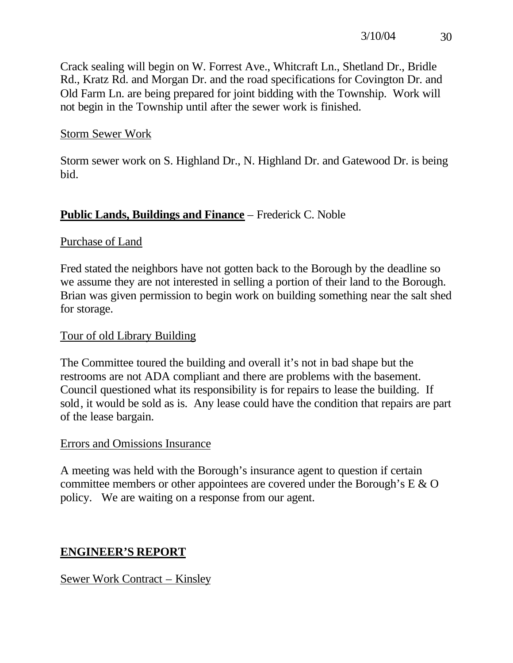Crack sealing will begin on W. Forrest Ave., Whitcraft Ln., Shetland Dr., Bridle Rd., Kratz Rd. and Morgan Dr. and the road specifications for Covington Dr. and Old Farm Ln. are being prepared for joint bidding with the Township. Work will not begin in the Township until after the sewer work is finished.

### Storm Sewer Work

Storm sewer work on S. Highland Dr., N. Highland Dr. and Gatewood Dr. is being bid.

## **Public Lands, Buildings and Finance** – Frederick C. Noble

### Purchase of Land

Fred stated the neighbors have not gotten back to the Borough by the deadline so we assume they are not interested in selling a portion of their land to the Borough. Brian was given permission to begin work on building something near the salt shed for storage.

### Tour of old Library Building

The Committee toured the building and overall it's not in bad shape but the restrooms are not ADA compliant and there are problems with the basement. Council questioned what its responsibility is for repairs to lease the building. If sold, it would be sold as is. Any lease could have the condition that repairs are part of the lease bargain.

#### Errors and Omissions Insurance

A meeting was held with the Borough's insurance agent to question if certain committee members or other appointees are covered under the Borough's E & O policy. We are waiting on a response from our agent.

## **ENGINEER'S REPORT**

## Sewer Work Contract – Kinsley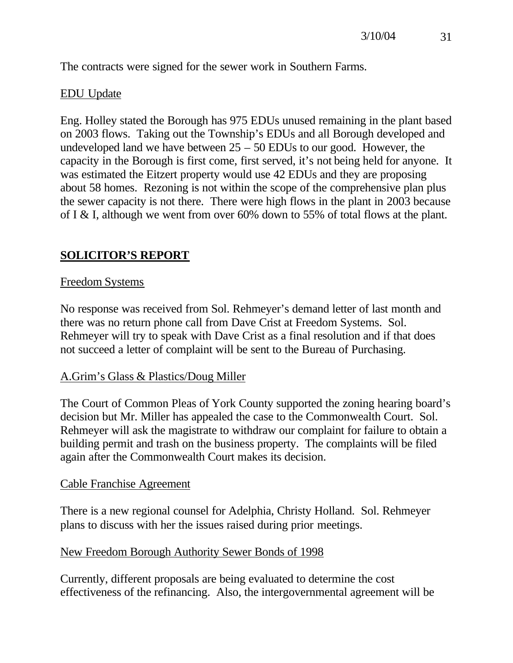The contracts were signed for the sewer work in Southern Farms.

## EDU Update

Eng. Holley stated the Borough has 975 EDUs unused remaining in the plant based on 2003 flows. Taking out the Township's EDUs and all Borough developed and undeveloped land we have between  $25 - 50$  EDUs to our good. However, the capacity in the Borough is first come, first served, it's not being held for anyone. It was estimated the Eitzert property would use 42 EDUs and they are proposing about 58 homes. Rezoning is not within the scope of the comprehensive plan plus the sewer capacity is not there. There were high flows in the plant in 2003 because of I & I, although we went from over 60% down to 55% of total flows at the plant.

## **SOLICITOR'S REPORT**

### Freedom Systems

No response was received from Sol. Rehmeyer's demand letter of last month and there was no return phone call from Dave Crist at Freedom Systems. Sol. Rehmeyer will try to speak with Dave Crist as a final resolution and if that does not succeed a letter of complaint will be sent to the Bureau of Purchasing.

## A.Grim's Glass & Plastics/Doug Miller

The Court of Common Pleas of York County supported the zoning hearing board's decision but Mr. Miller has appealed the case to the Commonwealth Court. Sol. Rehmeyer will ask the magistrate to withdraw our complaint for failure to obtain a building permit and trash on the business property. The complaints will be filed again after the Commonwealth Court makes its decision.

#### Cable Franchise Agreement

There is a new regional counsel for Adelphia, Christy Holland. Sol. Rehmeyer plans to discuss with her the issues raised during prior meetings.

## New Freedom Borough Authority Sewer Bonds of 1998

Currently, different proposals are being evaluated to determine the cost effectiveness of the refinancing. Also, the intergovernmental agreement will be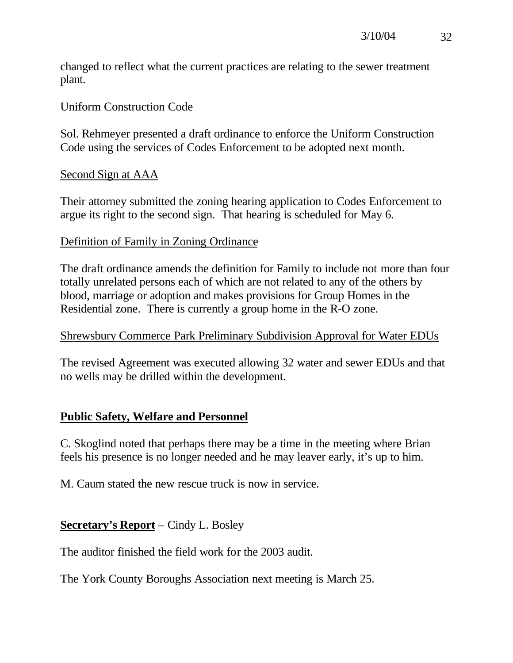changed to reflect what the current practices are relating to the sewer treatment plant.

#### Uniform Construction Code

Sol. Rehmeyer presented a draft ordinance to enforce the Uniform Construction Code using the services of Codes Enforcement to be adopted next month.

#### Second Sign at AAA

Their attorney submitted the zoning hearing application to Codes Enforcement to argue its right to the second sign. That hearing is scheduled for May 6.

### Definition of Family in Zoning Ordinance

The draft ordinance amends the definition for Family to include not more than four totally unrelated persons each of which are not related to any of the others by blood, marriage or adoption and makes provisions for Group Homes in the Residential zone. There is currently a group home in the R-O zone.

### Shrewsbury Commerce Park Preliminary Subdivision Approval for Water EDUs

The revised Agreement was executed allowing 32 water and sewer EDUs and that no wells may be drilled within the development.

## **Public Safety, Welfare and Personnel**

C. Skoglind noted that perhaps there may be a time in the meeting where Brian feels his presence is no longer needed and he may leaver early, it's up to him.

M. Caum stated the new rescue truck is now in service.

## **Secretary's Report** – Cindy L. Bosley

The auditor finished the field work for the 2003 audit.

The York County Boroughs Association next meeting is March 25.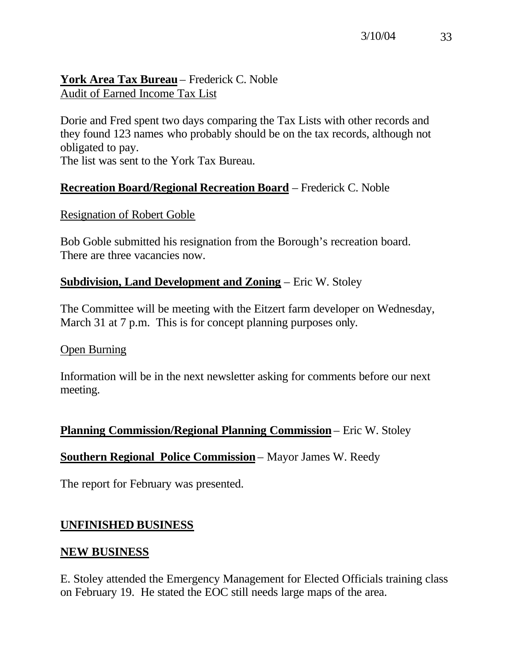## **York Area Tax Bureau** – Frederick C. Noble Audit of Earned Income Tax List

Dorie and Fred spent two days comparing the Tax Lists with other records and they found 123 names who probably should be on the tax records, although not obligated to pay.

The list was sent to the York Tax Bureau.

## **Recreation Board/Regional Recreation Board** – Frederick C. Noble

#### Resignation of Robert Goble

Bob Goble submitted his resignation from the Borough's recreation board. There are three vacancies now.

## **Subdivision, Land Development and Zoning** – Eric W. Stoley

The Committee will be meeting with the Eitzert farm developer on Wednesday, March 31 at 7 p.m. This is for concept planning purposes only.

#### Open Burning

Information will be in the next newsletter asking for comments before our next meeting.

#### **Planning Commission/Regional Planning Commission** – Eric W. Stoley

#### **Southern Regional Police Commission** – Mayor James W. Reedy

The report for February was presented.

#### **UNFINISHED BUSINESS**

#### **NEW BUSINESS**

E. Stoley attended the Emergency Management for Elected Officials training class on February 19. He stated the EOC still needs large maps of the area.